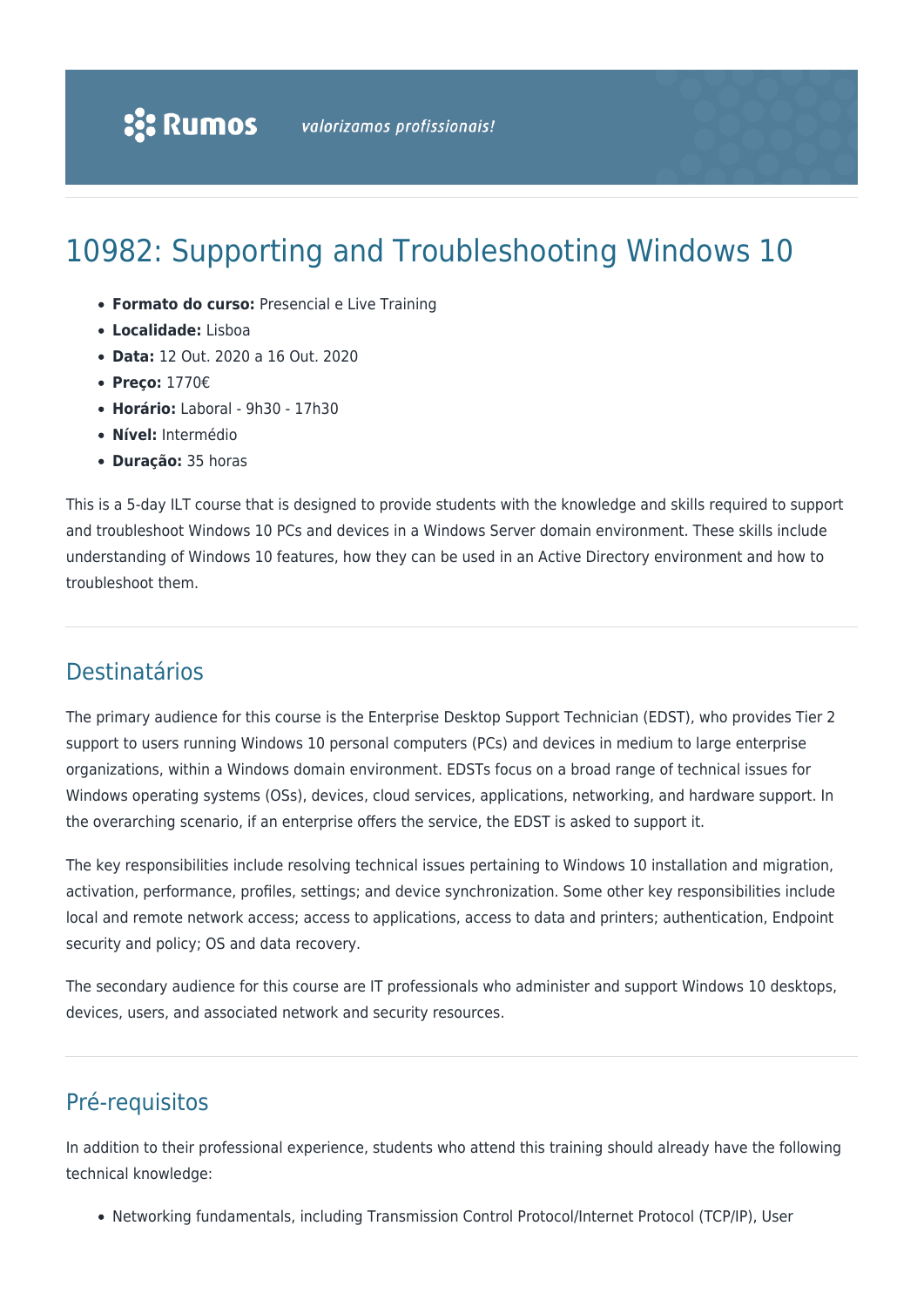# 10982: Supporting and Troubleshooting Windows 10

- **Formato do curso:** Presencial e Live Training
- **Localidade:** Lisboa
- **Data:** 12 Out. 2020 a 16 Out. 2020
- **Preço:** 1770€
- **Horário:** Laboral 9h30 17h30
- **Nível:** Intermédio
- **Duração:** 35 horas

This is a 5-day ILT course that is designed to provide students with the knowledge and skills required to support and troubleshoot Windows 10 PCs and devices in a Windows Server domain environment. These skills include understanding of Windows 10 features, how they can be used in an Active Directory environment and how to troubleshoot them.

# Destinatários

The primary audience for this course is the Enterprise Desktop Support Technician (EDST), who provides Tier 2 support to users running Windows 10 personal computers (PCs) and devices in medium to large enterprise organizations, within a Windows domain environment. EDSTs focus on a broad range of technical issues for Windows operating systems (OSs), devices, cloud services, applications, networking, and hardware support. In the overarching scenario, if an enterprise offers the service, the EDST is asked to support it.

The key responsibilities include resolving technical issues pertaining to Windows 10 installation and migration, activation, performance, profiles, settings; and device synchronization. Some other key responsibilities include local and remote network access; access to applications, access to data and printers; authentication, Endpoint security and policy; OS and data recovery.

The secondary audience for this course are IT professionals who administer and support Windows 10 desktops, devices, users, and associated network and security resources.

# Pré-requisitos

In addition to their professional experience, students who attend this training should already have the following technical knowledge:

Networking fundamentals, including Transmission Control Protocol/Internet Protocol (TCP/IP), User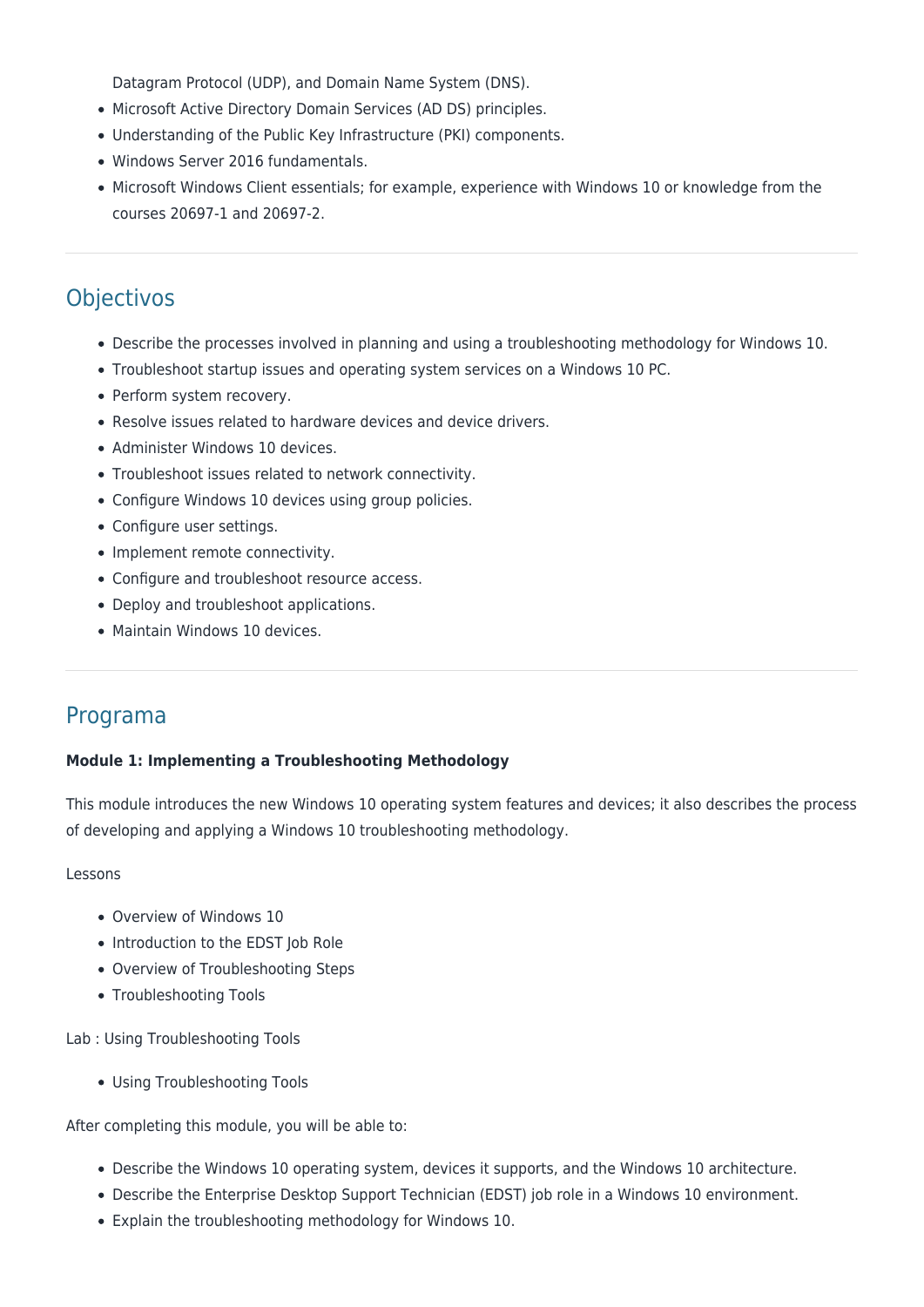Datagram Protocol (UDP), and Domain Name System (DNS).

- Microsoft Active Directory Domain Services (AD DS) principles.
- Understanding of the Public Key Infrastructure (PKI) components.
- Windows Server 2016 fundamentals.
- Microsoft Windows Client essentials; for example, experience with Windows 10 or knowledge from the courses 20697-1 and 20697-2.

# **Objectivos**

- Describe the processes involved in planning and using a troubleshooting methodology for Windows 10.
- Troubleshoot startup issues and operating system services on a Windows 10 PC.
- Perform system recovery.
- Resolve issues related to hardware devices and device drivers.
- Administer Windows 10 devices.
- Troubleshoot issues related to network connectivity.
- Configure Windows 10 devices using group policies.
- Configure user settings.
- Implement remote connectivity.
- Configure and troubleshoot resource access.
- Deploy and troubleshoot applications.
- Maintain Windows 10 devices.

# Programa

#### **Module 1: Implementing a Troubleshooting Methodology**

This module introduces the new Windows 10 operating system features and devices; it also describes the process of developing and applying a Windows 10 troubleshooting methodology.

#### Lessons

- Overview of Windows 10
- Introduction to the EDST Job Role
- Overview of Troubleshooting Steps
- Troubleshooting Tools

Lab : Using Troubleshooting Tools

Using Troubleshooting Tools

- Describe the Windows 10 operating system, devices it supports, and the Windows 10 architecture.
- Describe the Enterprise Desktop Support Technician (EDST) job role in a Windows 10 environment.
- Explain the troubleshooting methodology for Windows 10.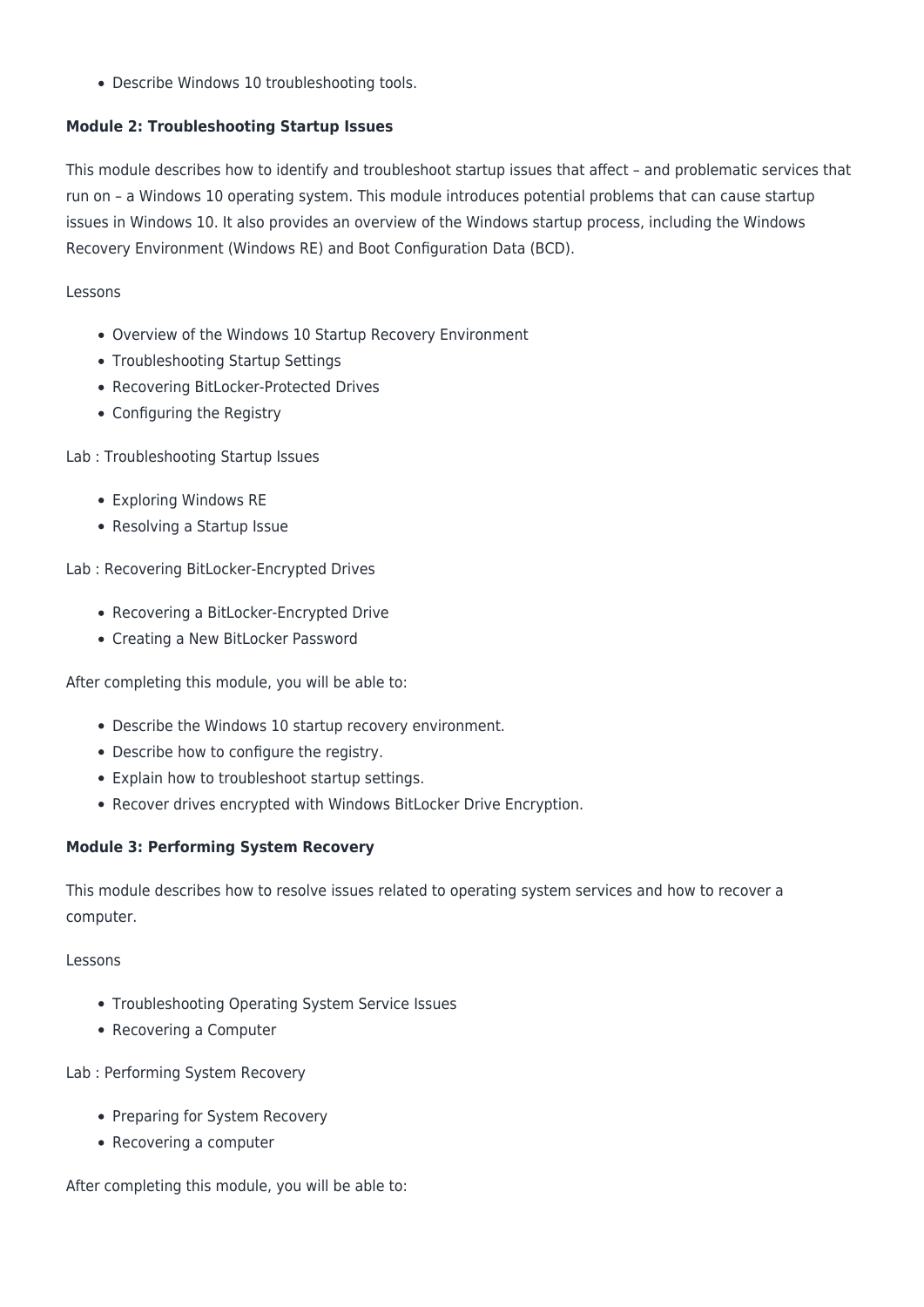Describe Windows 10 troubleshooting tools.

# **Module 2: Troubleshooting Startup Issues**

This module describes how to identify and troubleshoot startup issues that affect – and problematic services that run on – a Windows 10 operating system. This module introduces potential problems that can cause startup issues in Windows 10. It also provides an overview of the Windows startup process, including the Windows Recovery Environment (Windows RE) and Boot Configuration Data (BCD).

#### Lessons

- Overview of the Windows 10 Startup Recovery Environment
- Troubleshooting Startup Settings
- Recovering BitLocker-Protected Drives
- Configuring the Registry

Lab : Troubleshooting Startup Issues

- Exploring Windows RE
- Resolving a Startup Issue

Lab : Recovering BitLocker-Encrypted Drives

- Recovering a BitLocker-Encrypted Drive
- Creating a New BitLocker Password

After completing this module, you will be able to:

- Describe the Windows 10 startup recovery environment.
- Describe how to configure the registry.
- Explain how to troubleshoot startup settings.
- Recover drives encrypted with Windows BitLocker Drive Encryption.

## **Module 3: Performing System Recovery**

This module describes how to resolve issues related to operating system services and how to recover a computer.

#### Lessons

- Troubleshooting Operating System Service Issues
- Recovering a Computer

Lab : Performing System Recovery

- Preparing for System Recovery
- Recovering a computer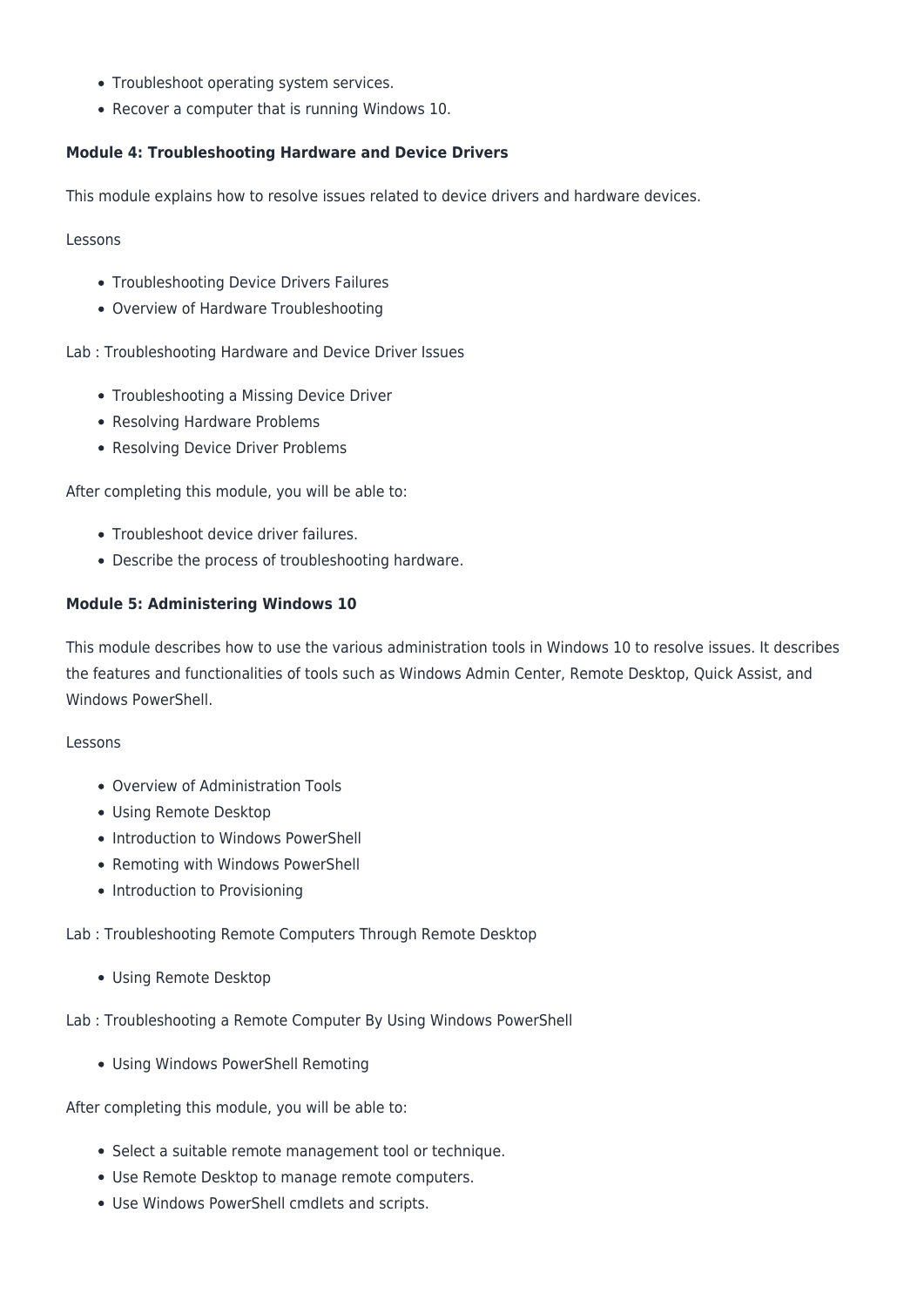- Troubleshoot operating system services.
- Recover a computer that is running Windows 10.

# **Module 4: Troubleshooting Hardware and Device Drivers**

This module explains how to resolve issues related to device drivers and hardware devices.

Lessons

- Troubleshooting Device Drivers Failures
- Overview of Hardware Troubleshooting

Lab : Troubleshooting Hardware and Device Driver Issues

- Troubleshooting a Missing Device Driver
- Resolving Hardware Problems
- Resolving Device Driver Problems

After completing this module, you will be able to:

- Troubleshoot device driver failures.
- Describe the process of troubleshooting hardware.

#### **Module 5: Administering Windows 10**

This module describes how to use the various administration tools in Windows 10 to resolve issues. It describes the features and functionalities of tools such as Windows Admin Center, Remote Desktop, Quick Assist, and Windows PowerShell.

#### Lessons

- Overview of Administration Tools
- Using Remote Desktop
- Introduction to Windows PowerShell
- Remoting with Windows PowerShell
- Introduction to Provisioning

#### Lab : Troubleshooting Remote Computers Through Remote Desktop

Using Remote Desktop

Lab : Troubleshooting a Remote Computer By Using Windows PowerShell

Using Windows PowerShell Remoting

- Select a suitable remote management tool or technique.
- Use Remote Desktop to manage remote computers.
- Use Windows PowerShell cmdlets and scripts.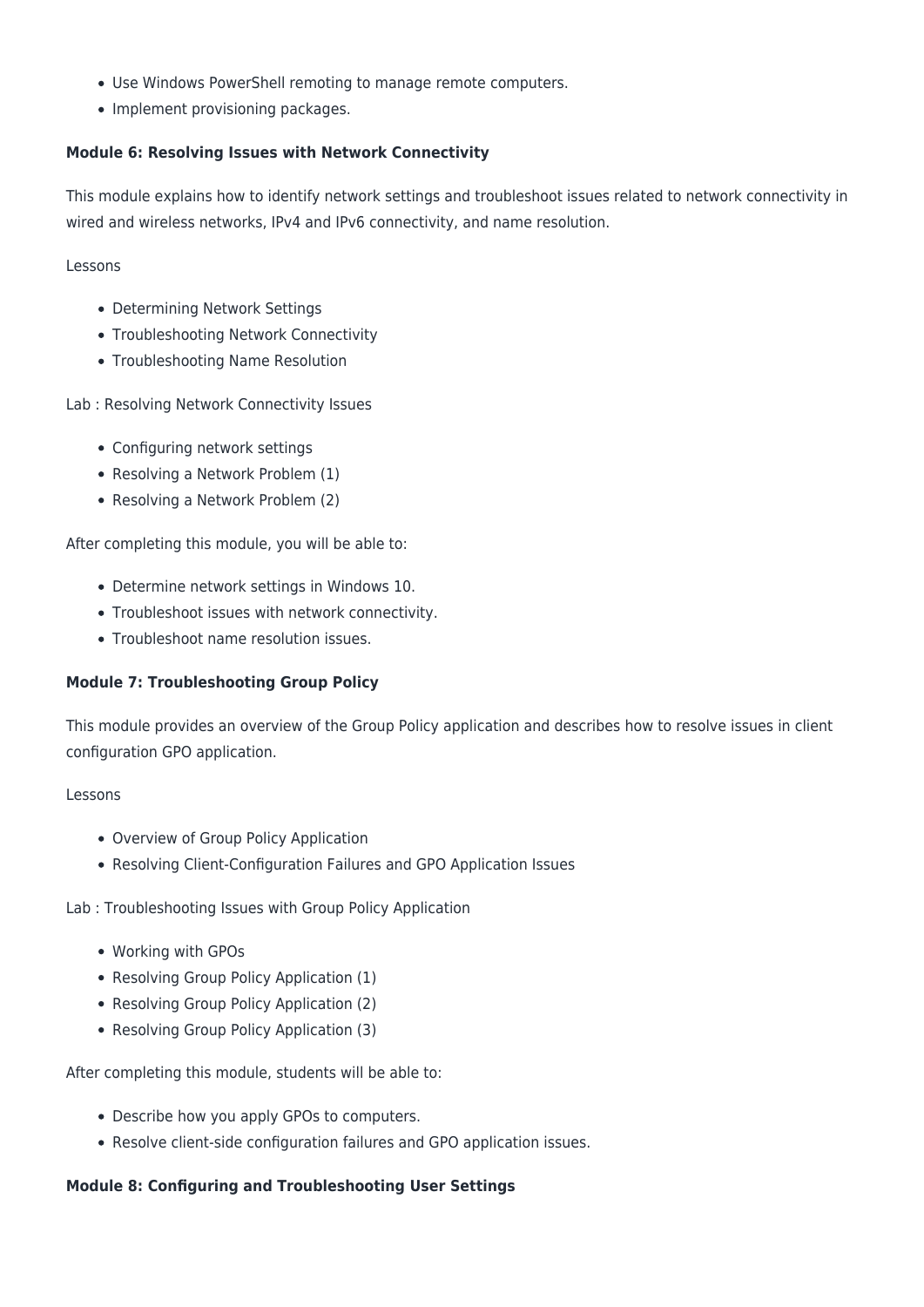- Use Windows PowerShell remoting to manage remote computers.
- Implement provisioning packages.

# **Module 6: Resolving Issues with Network Connectivity**

This module explains how to identify network settings and troubleshoot issues related to network connectivity in wired and wireless networks, IPv4 and IPv6 connectivity, and name resolution.

Lessons

- Determining Network Settings
- Troubleshooting Network Connectivity
- Troubleshooting Name Resolution

Lab : Resolving Network Connectivity Issues

- Configuring network settings
- Resolving a Network Problem (1)
- Resolving a Network Problem (2)

After completing this module, you will be able to:

- Determine network settings in Windows 10.
- Troubleshoot issues with network connectivity.
- Troubleshoot name resolution issues.

## **Module 7: Troubleshooting Group Policy**

This module provides an overview of the Group Policy application and describes how to resolve issues in client configuration GPO application.

#### Lessons

- Overview of Group Policy Application
- Resolving Client-Configuration Failures and GPO Application Issues

Lab : Troubleshooting Issues with Group Policy Application

- Working with GPOs
- Resolving Group Policy Application (1)
- Resolving Group Policy Application (2)
- Resolving Group Policy Application (3)

After completing this module, students will be able to:

- Describe how you apply GPOs to computers.
- Resolve client-side configuration failures and GPO application issues.

## **Module 8: Configuring and Troubleshooting User Settings**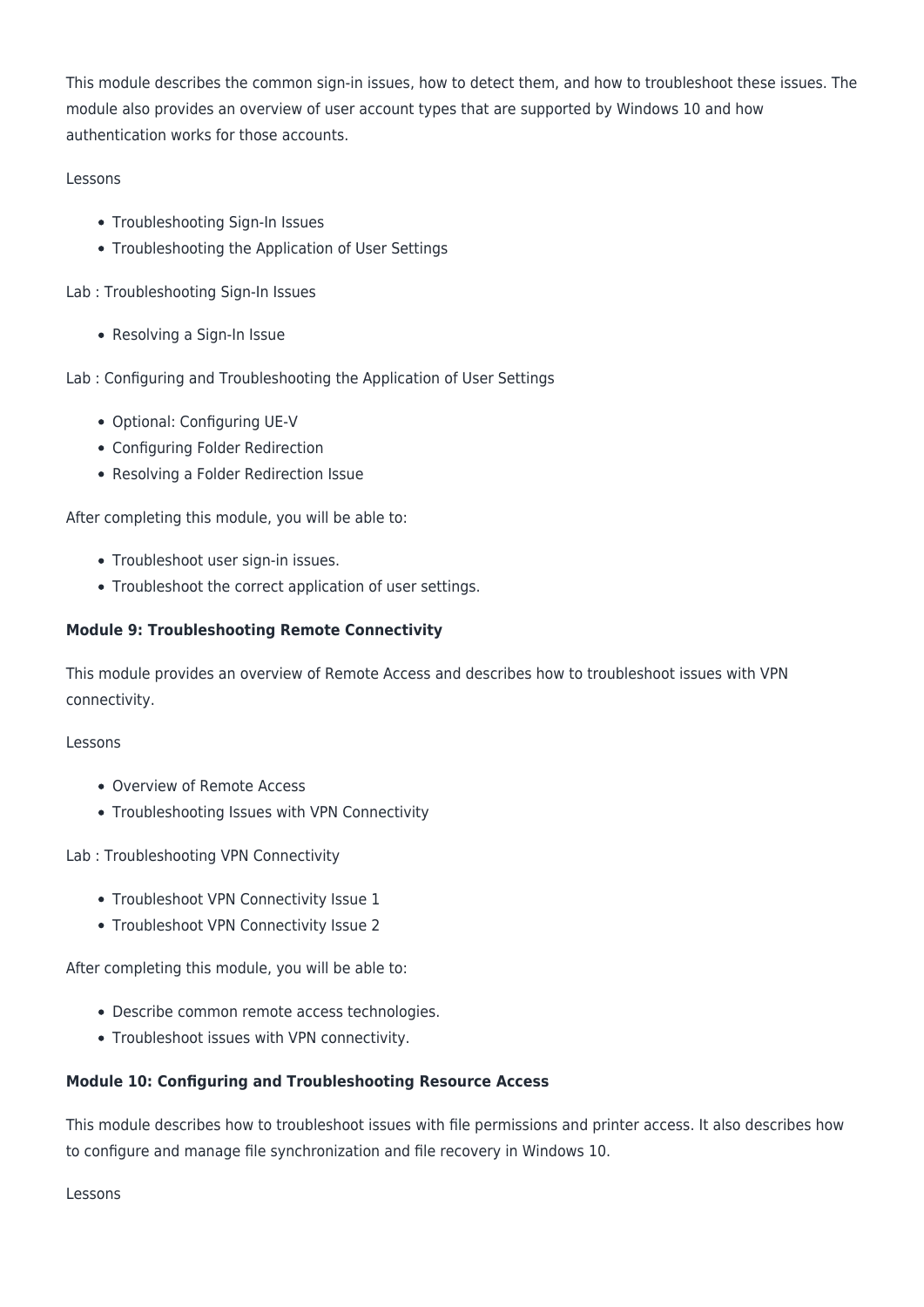This module describes the common sign-in issues, how to detect them, and how to troubleshoot these issues. The module also provides an overview of user account types that are supported by Windows 10 and how authentication works for those accounts.

# Lessons

- Troubleshooting Sign-In Issues
- Troubleshooting the Application of User Settings

Lab : Troubleshooting Sign-In Issues

• Resolving a Sign-In Issue

Lab : Configuring and Troubleshooting the Application of User Settings

- Optional: Configuring UE-V
- Configuring Folder Redirection
- Resolving a Folder Redirection Issue

After completing this module, you will be able to:

- Troubleshoot user sign-in issues.
- Troubleshoot the correct application of user settings.

# **Module 9: Troubleshooting Remote Connectivity**

This module provides an overview of Remote Access and describes how to troubleshoot issues with VPN connectivity.

#### Lessons

- Overview of Remote Access
- Troubleshooting Issues with VPN Connectivity

Lab : Troubleshooting VPN Connectivity

- Troubleshoot VPN Connectivity Issue 1
- Troubleshoot VPN Connectivity Issue 2

After completing this module, you will be able to:

- Describe common remote access technologies.
- Troubleshoot issues with VPN connectivity.

## **Module 10: Configuring and Troubleshooting Resource Access**

This module describes how to troubleshoot issues with file permissions and printer access. It also describes how to configure and manage file synchronization and file recovery in Windows 10.

Lessons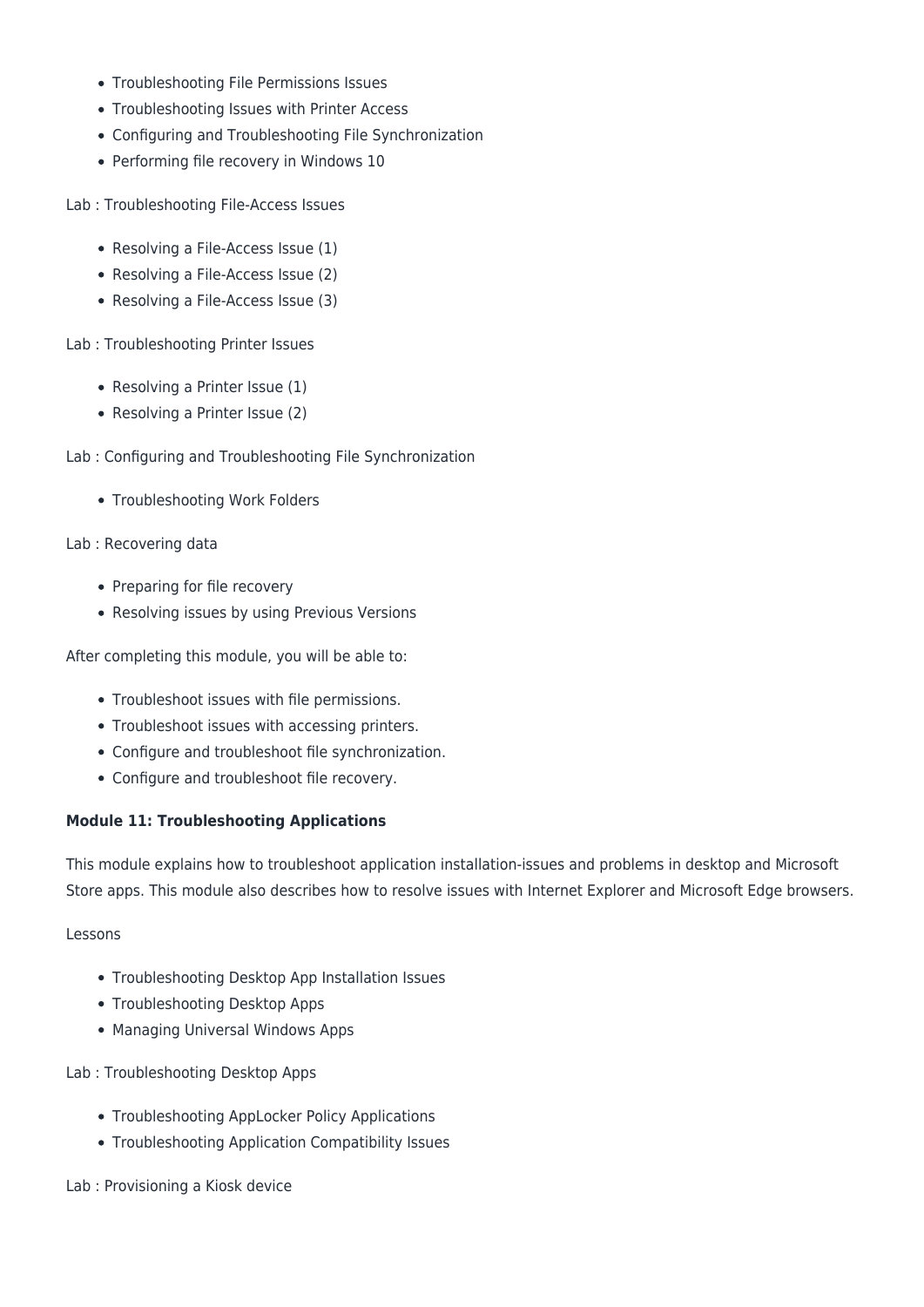- Troubleshooting File Permissions Issues
- Troubleshooting Issues with Printer Access
- Configuring and Troubleshooting File Synchronization
- Performing file recovery in Windows 10

Lab : Troubleshooting File-Access Issues

- Resolving a File-Access Issue (1)
- Resolving a File-Access Issue (2)
- Resolving a File-Access Issue (3)

Lab : Troubleshooting Printer Issues

- Resolving a Printer Issue (1)
- Resolving a Printer Issue (2)
- Lab : Configuring and Troubleshooting File Synchronization
	- Troubleshooting Work Folders

Lab : Recovering data

- Preparing for file recovery
- Resolving issues by using Previous Versions

After completing this module, you will be able to:

- Troubleshoot issues with file permissions.
- Troubleshoot issues with accessing printers.
- Configure and troubleshoot file synchronization.
- Configure and troubleshoot file recovery.

## **Module 11: Troubleshooting Applications**

This module explains how to troubleshoot application installation-issues and problems in desktop and Microsoft Store apps. This module also describes how to resolve issues with Internet Explorer and Microsoft Edge browsers.

#### Lessons

- Troubleshooting Desktop App Installation Issues
- Troubleshooting Desktop Apps
- Managing Universal Windows Apps
- Lab : Troubleshooting Desktop Apps
	- Troubleshooting AppLocker Policy Applications
	- Troubleshooting Application Compatibility Issues

Lab : Provisioning a Kiosk device